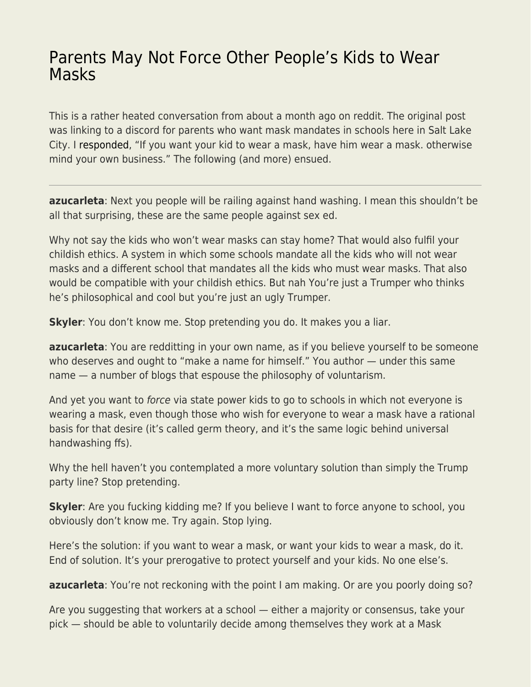## [Parents May Not Force Other People's Kids to Wear](https://everything-voluntary.com/parents-may-not-force-other-peoples-kids-to-wear-masks) [Masks](https://everything-voluntary.com/parents-may-not-force-other-peoples-kids-to-wear-masks)

This is a rather heated conversation from about a month ago on reddit. The original post was linking to a discord for parents who want mask mandates in schools here in Salt Lake City. I [responded,](https://www.reddit.com/r/SLCUnedited/comments/p6j1gy/parents_wanting_mask_mandates_in_schools/h9ddc00/?utm_source=reddit&utm_medium=web2x&context=3) "If you want your kid to wear a mask, have him wear a mask. otherwise mind your own business." The following (and more) ensued.

**azucarleta**: Next you people will be railing against hand washing. I mean this shouldn't be all that surprising, these are the same people against sex ed.

Why not say the kids who won't wear masks can stay home? That would also fulfil your childish ethics. A system in which some schools mandate all the kids who will not wear masks and a different school that mandates all the kids who must wear masks. That also would be compatible with your childish ethics. But nah You're just a Trumper who thinks he's philosophical and cool but you're just an ugly Trumper.

**Skyler**: You don't know me. Stop pretending you do. It makes you a liar.

**azucarleta**: You are redditting in your own name, as if you believe yourself to be someone who deserves and ought to "make a name for himself." You author — under this same name — a number of blogs that espouse the philosophy of voluntarism.

And yet you want to *force* via state power kids to go to schools in which not everyone is wearing a mask, even though those who wish for everyone to wear a mask have a rational basis for that desire (it's called germ theory, and it's the same logic behind universal handwashing ffs).

Why the hell haven't you contemplated a more voluntary solution than simply the Trump party line? Stop pretending.

**Skyler**: Are you fucking kidding me? If you believe I want to force anyone to school, you obviously don't know me. Try again. Stop lying.

Here's the solution: if you want to wear a mask, or want your kids to wear a mask, do it. End of solution. It's your prerogative to protect yourself and your kids. No one else's.

**azucarleta**: You're not reckoning with the point I am making. Or are you poorly doing so?

Are you suggesting that workers at a school — either a majority or consensus, take your pick — should be able to voluntarily decide among themselves they work at a Mask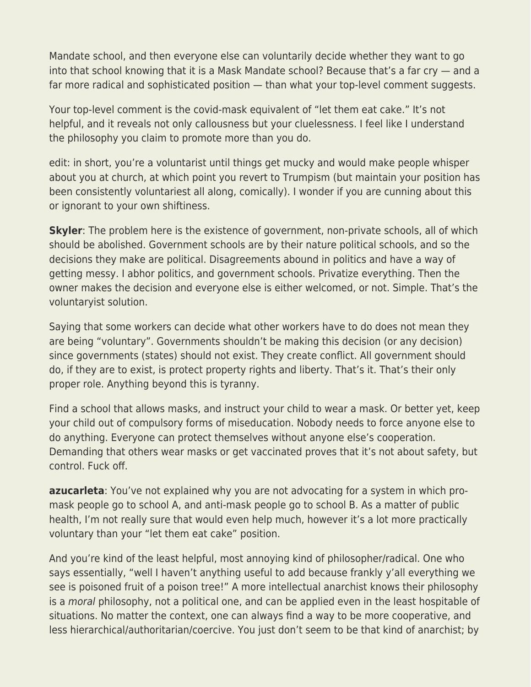Mandate school, and then everyone else can voluntarily decide whether they want to go into that school knowing that it is a Mask Mandate school? Because that's a far cry — and a far more radical and sophisticated position — than what your top-level comment suggests.

Your top-level comment is the covid-mask equivalent of "let them eat cake." It's not helpful, and it reveals not only callousness but your cluelessness. I feel like I understand the philosophy you claim to promote more than you do.

edit: in short, you're a voluntarist until things get mucky and would make people whisper about you at church, at which point you revert to Trumpism (but maintain your position has been consistently voluntariest all along, comically). I wonder if you are cunning about this or ignorant to your own shiftiness.

**Skyler**: The problem here is the existence of government, non-private schools, all of which should be abolished. Government schools are by their nature political schools, and so the decisions they make are political. Disagreements abound in politics and have a way of getting messy. I abhor politics, and government schools. Privatize everything. Then the owner makes the decision and everyone else is either welcomed, or not. Simple. That's the voluntaryist solution.

Saying that some workers can decide what other workers have to do does not mean they are being "voluntary". Governments shouldn't be making this decision (or any decision) since governments (states) should not exist. They create conflict. All government should do, if they are to exist, is protect property rights and liberty. That's it. That's their only proper role. Anything beyond this is tyranny.

Find a school that allows masks, and instruct your child to wear a mask. Or better yet, keep your child out of compulsory forms of miseducation. Nobody needs to force anyone else to do anything. Everyone can protect themselves without anyone else's cooperation. Demanding that others wear masks or get vaccinated proves that it's not about safety, but control. Fuck off.

**azucarleta**: You've not explained why you are not advocating for a system in which promask people go to school A, and anti-mask people go to school B. As a matter of public health, I'm not really sure that would even help much, however it's a lot more practically voluntary than your "let them eat cake" position.

And you're kind of the least helpful, most annoying kind of philosopher/radical. One who says essentially, "well I haven't anything useful to add because frankly y'all everything we see is poisoned fruit of a poison tree!" A more intellectual anarchist knows their philosophy is a moral philosophy, not a political one, and can be applied even in the least hospitable of situations. No matter the context, one can always find a way to be more cooperative, and less hierarchical/authoritarian/coercive. You just don't seem to be that kind of anarchist; by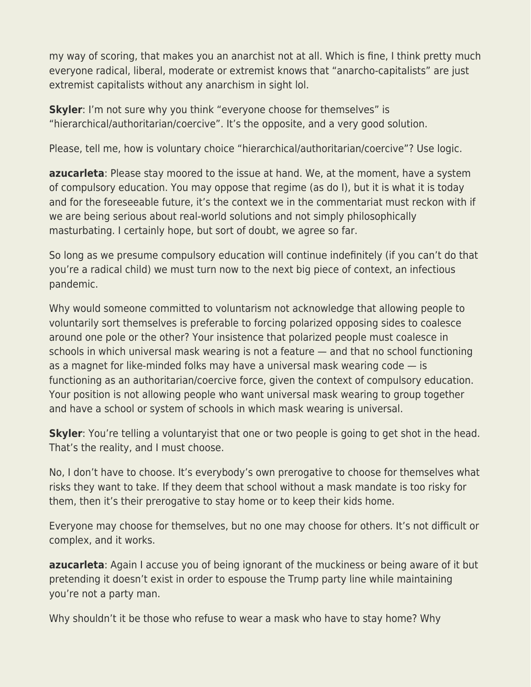my way of scoring, that makes you an anarchist not at all. Which is fine, I think pretty much everyone radical, liberal, moderate or extremist knows that "anarcho-capitalists" are just extremist capitalists without any anarchism in sight lol.

**Skyler**: I'm not sure why you think "everyone choose for themselves" is "hierarchical/authoritarian/coercive". It's the opposite, and a very good solution.

Please, tell me, how is voluntary choice "hierarchical/authoritarian/coercive"? Use logic.

**azucarleta**: Please stay moored to the issue at hand. We, at the moment, have a system of compulsory education. You may oppose that regime (as do I), but it is what it is today and for the foreseeable future, it's the context we in the commentariat must reckon with if we are being serious about real-world solutions and not simply philosophically masturbating. I certainly hope, but sort of doubt, we agree so far.

So long as we presume compulsory education will continue indefinitely (if you can't do that you're a radical child) we must turn now to the next big piece of context, an infectious pandemic.

Why would someone committed to voluntarism not acknowledge that allowing people to voluntarily sort themselves is preferable to forcing polarized opposing sides to coalesce around one pole or the other? Your insistence that polarized people must coalesce in schools in which universal mask wearing is not a feature — and that no school functioning as a magnet for like-minded folks may have a universal mask wearing code — is functioning as an authoritarian/coercive force, given the context of compulsory education. Your position is not allowing people who want universal mask wearing to group together and have a school or system of schools in which mask wearing is universal.

**Skyler**: You're telling a voluntaryist that one or two people is going to get shot in the head. That's the reality, and I must choose.

No, I don't have to choose. It's everybody's own prerogative to choose for themselves what risks they want to take. If they deem that school without a mask mandate is too risky for them, then it's their prerogative to stay home or to keep their kids home.

Everyone may choose for themselves, but no one may choose for others. It's not difficult or complex, and it works.

**azucarleta**: Again I accuse you of being ignorant of the muckiness or being aware of it but pretending it doesn't exist in order to espouse the Trump party line while maintaining you're not a party man.

Why shouldn't it be those who refuse to wear a mask who have to stay home? Why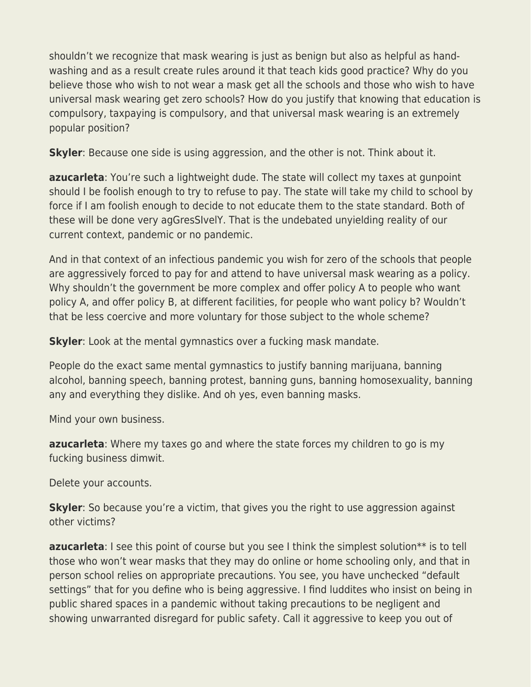shouldn't we recognize that mask wearing is just as benign but also as helpful as handwashing and as a result create rules around it that teach kids good practice? Why do you believe those who wish to not wear a mask get all the schools and those who wish to have universal mask wearing get zero schools? How do you justify that knowing that education is compulsory, taxpaying is compulsory, and that universal mask wearing is an extremely popular position?

**Skyler**: Because one side is using aggression, and the other is not. Think about it.

**azucarleta**: You're such a lightweight dude. The state will collect my taxes at gunpoint should I be foolish enough to try to refuse to pay. The state will take my child to school by force if I am foolish enough to decide to not educate them to the state standard. Both of these will be done very agGresSIvelY. That is the undebated unyielding reality of our current context, pandemic or no pandemic.

And in that context of an infectious pandemic you wish for zero of the schools that people are aggressively forced to pay for and attend to have universal mask wearing as a policy. Why shouldn't the government be more complex and offer policy A to people who want policy A, and offer policy B, at different facilities, for people who want policy b? Wouldn't that be less coercive and more voluntary for those subject to the whole scheme?

**Skyler**: Look at the mental gymnastics over a fucking mask mandate.

People do the exact same mental gymnastics to justify banning marijuana, banning alcohol, banning speech, banning protest, banning guns, banning homosexuality, banning any and everything they dislike. And oh yes, even banning masks.

Mind your own business.

**azucarleta**: Where my taxes go and where the state forces my children to go is my fucking business dimwit.

Delete your accounts.

**Skyler**: So because you're a victim, that gives you the right to use aggression against other victims?

**azucarleta**: I see this point of course but you see I think the simplest solution<sup>\*\*</sup> is to tell those who won't wear masks that they may do online or home schooling only, and that in person school relies on appropriate precautions. You see, you have unchecked "default settings" that for you define who is being aggressive. I find luddites who insist on being in public shared spaces in a pandemic without taking precautions to be negligent and showing unwarranted disregard for public safety. Call it aggressive to keep you out of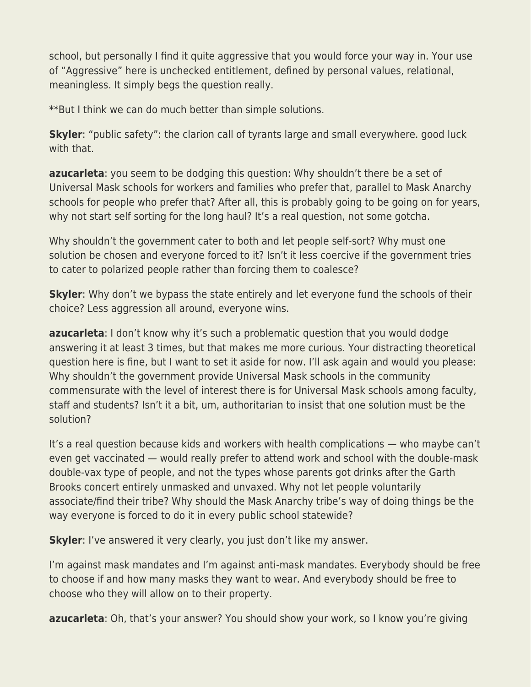school, but personally I find it quite aggressive that you would force your way in. Your use of "Aggressive" here is unchecked entitlement, defined by personal values, relational, meaningless. It simply begs the question really.

\*\*But I think we can do much better than simple solutions.

**Skyler**: "public safety": the clarion call of tyrants large and small everywhere. good luck with that.

**azucarleta**: you seem to be dodging this question: Why shouldn't there be a set of Universal Mask schools for workers and families who prefer that, parallel to Mask Anarchy schools for people who prefer that? After all, this is probably going to be going on for years, why not start self sorting for the long haul? It's a real question, not some gotcha.

Why shouldn't the government cater to both and let people self-sort? Why must one solution be chosen and everyone forced to it? Isn't it less coercive if the government tries to cater to polarized people rather than forcing them to coalesce?

**Skyler**: Why don't we bypass the state entirely and let everyone fund the schools of their choice? Less aggression all around, everyone wins.

**azucarleta**: I don't know why it's such a problematic question that you would dodge answering it at least 3 times, but that makes me more curious. Your distracting theoretical question here is fine, but I want to set it aside for now. I'll ask again and would you please: Why shouldn't the government provide Universal Mask schools in the community commensurate with the level of interest there is for Universal Mask schools among faculty, staff and students? Isn't it a bit, um, authoritarian to insist that one solution must be the solution?

It's a real question because kids and workers with health complications — who maybe can't even get vaccinated — would really prefer to attend work and school with the double-mask double-vax type of people, and not the types whose parents got drinks after the Garth Brooks concert entirely unmasked and unvaxed. Why not let people voluntarily associate/find their tribe? Why should the Mask Anarchy tribe's way of doing things be the way everyone is forced to do it in every public school statewide?

**Skyler**: I've answered it very clearly, you just don't like my answer.

I'm against mask mandates and I'm against anti-mask mandates. Everybody should be free to choose if and how many masks they want to wear. And everybody should be free to choose who they will allow on to their property.

**azucarleta**: Oh, that's your answer? You should show your work, so I know you're giving